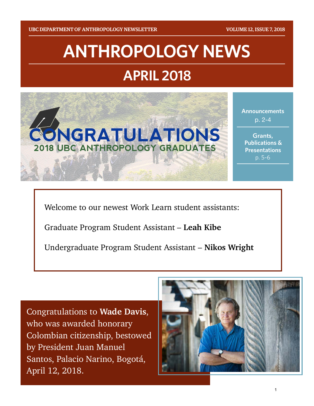# **ANTHROPOLOGY NEWS APRIL 2018**



**Announcements**  p. 2-4

**Grants, Publications & Presentations** p. 5-6

Welcome to our newest Work Learn student assistants:

Graduate Program Student Assistant – **Leah Kibe** 

Undergraduate Program Student Assistant – **Nikos Wright** 

Congratulations to **Wade Davis**, who was awarded honorary Colombian citizenship, bestowed by President Juan Manuel Santos, Palacio Narino, Bogotá, April 12, 2018.



1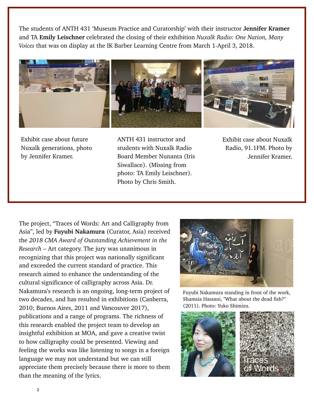The students of ANTH 431 'Museum Practice and Curatorship' with their instructor **Jennifer Kramer** and TA **Emily Leischner** celebrated the closing of their exhibition *Nuxalk Radio: One Nation, Many Voices* that was on display at the IK Barber Learning Centre from March 1-April 3, 2018.



Exhibit case about future Nuxalk generations, photo by Jennifer Kramer.

ANTH 431 instructor and students with Nuxalk Radio Board Member Nunanta (Iris Siwallace). (Missing from photo: TA Emily Leischner). Photo by Chris Smith.

Exhibit case about Nuxalk Radio, 91.1FM. Photo by Jennifer Kramer.

The project, "Traces of Words: Art and Calligraphy from Asia", led by **Fuyubi Nakamura** (Curator, Asia) received the *2018 CMA Award of Outstanding Achievement in the Research* – Art category. The jury was unanimous in recognizing that this project was nationally significant and exceeded the current standard of practice. This research aimed to enhance the understanding of the cultural significance of calligraphy across Asia. Dr. Nakamura's research is an ongoing, long-term project of two decades, and has resulted in exhibitions (Canberra, 2010; Buenos Aires, 2011 and Vancouver 2017), publications and a range of programs. The richness of this research enabled the project team to develop an insightful exhibition at MOA, and gave a creative twist to how calligraphy could be presented. Viewing and feeling the works was like listening to songs in a foreign language we may not understand but we can still appreciate them precisely because there is more to them than the meaning of the lyrics.



Fuyubi Nakamura standing in front of the work, Shamsia Hassani, "What about the dead fish?" (2011). Photo: Yuko Shimizu.

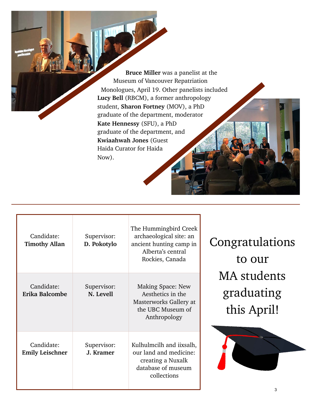**Bruce Miller** was a panelist at the Museum of Vancouver Repatriation Monologues, April 19. Other panelists included **Lucy Bell** (RBCM), a former anthropology student, **Sharon Fortney** (MOV), a PhD graduate of the department, moderator **Kate Hennessy** (SFU), a PhD graduate of the department, and **Kwiaahwah Jones** (Guest Haida Curator for Haida Now).

| Candidate:<br><b>Timothy Allan</b>   | Supervisor:<br>D. Pokotylo | The Hummingbird Creek<br>archaeological site: an<br>ancient hunting camp in<br>Alberta's central<br>Rockies, Canada |
|--------------------------------------|----------------------------|---------------------------------------------------------------------------------------------------------------------|
| Candidate:<br>Erika Balcombe         | Supervisor:<br>N. Levell   | <b>Making Space: New</b><br>Aesthetics in the<br>Masterworks Gallery at<br>the UBC Museum of<br>Anthropology        |
| Candidate:<br><b>Emily Leischner</b> | Supervisor:<br>J. Kramer   | Kulhulmcilh and iixsalh,<br>our land and medicine:<br>creating a Nuxalk<br>database of museum<br>collections        |

Congratulations to our MA students graduating this April!

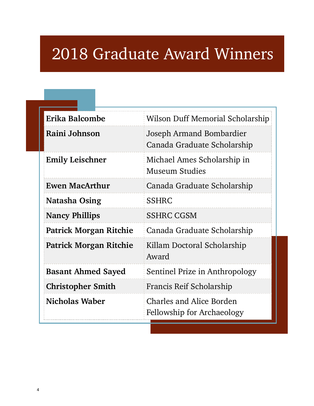## 2018 Graduate Award Winners

| Erika Balcombe                | Wilson Duff Memorial Scholarship                                     |
|-------------------------------|----------------------------------------------------------------------|
| Raini Johnson                 | Joseph Armand Bombardier<br>Canada Graduate Scholarship              |
| <b>Emily Leischner</b>        | Michael Ames Scholarship in<br>Museum Studies                        |
| <b>Ewen MacArthur</b>         | Canada Graduate Scholarship                                          |
| Natasha Osing                 | <b>SSHRC</b>                                                         |
| <b>Nancy Phillips</b>         | <b>SSHRC CGSM</b>                                                    |
| <b>Patrick Morgan Ritchie</b> | Canada Graduate Scholarship                                          |
| <b>Patrick Morgan Ritchie</b> | Killam Doctoral Scholarship<br>Award                                 |
| <b>Basant Ahmed Sayed</b>     | Sentinel Prize in Anthropology                                       |
| <b>Christopher Smith</b>      | Francis Reif Scholarship                                             |
| Nicholas Waber                | <b>Charles and Alice Borden</b><br><b>Fellowship for Archaeology</b> |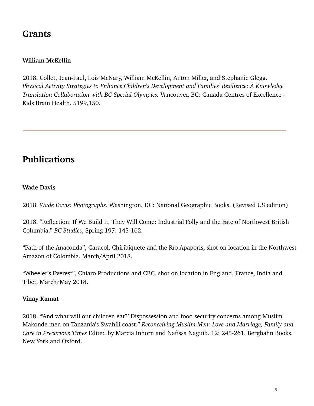### **Grants**

#### **William McKellin**

2018. Collet, Jean-Paul, Lois McNary, William McKellin, Anton Miller, and Stephanie Glegg. *Physical Activity Strategies to Enhance Children's Development and Families' Resilience: A Knowledge Translation Collaboration with BC Special Olympics.* Vancouver, BC: Canada Centres of Excellence - Kids Brain Health. \$199,150.

## **Publications**

#### **Wade Davis**

2018. *Wade Davis: Photographs.* Washington, DC: National Geographic Books. (Revised US edition)

2018. "Reflection: If We Build It, They Will Come: Industrial Folly and the Fate of Northwest British Columbia." *BC Studies*, Spring 197: 145-162.

"Path of the Anaconda", Caracol, Chiribiquete and the Río Apaporis, shot on location in the Northwest Amazon of Colombia. March/April 2018.

"Wheeler's Everest", Chiaro Productions and CBC, shot on location in England, France, India and Tibet. March/May 2018.

#### **Vinay Kamat**

2018. "'And what will our children eat?' Dispossession and food security concerns among Muslim Makonde men on Tanzania's Swahili coast." *Reconceiving Muslim Men: Love and Marriage, Family and Care in Precarious Times* Edited by Marcia Inhorn and Nafissa Naguib. 12: 245-261. Berghahn Books, New York and Oxford.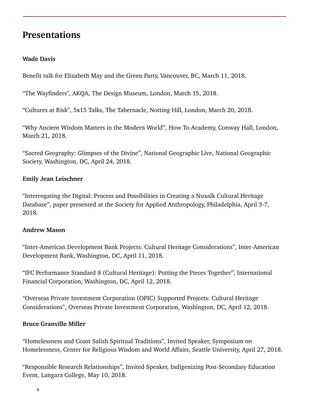### **Presentations**

#### **Wade Davis**

Benefit talk for Elizabeth May and the Green Party, Vancouver, BC, March 11, 2018.

"The Wayfinders", AKQA, The Design Museum, London, March 15, 2018.

"Cultures at Risk", 5x15 Talks, The Tabernacle, Notting Hill, London, March 20, 2018.

"Why Ancient Wisdom Matters in the Modern World", How To Academy, Conway Hall, London, March 21, 2018.

"Sacred Geography: Glimpses of the Divine", National Geographic Live, National Geographic Society, Washington, DC, April 24, 2018.

#### **Emily Jean Leischner**

"Interrogating the Digital: Process and Possibilities in Creating a Nuxalk Cultural Heritage Database", paper presented at the Society for Applied Anthropology, Philadelphia, April 3-7, 2018.

#### **Andrew Mason**

"Inter-American Development Bank Projects: Cultural Heritage Considerations", Inter-American Development Bank, Washington, DC, April 11, 2018.

"IFC Performance Standard 8 (Cultural Heritage): Putting the Pieces Together", International Financial Corporation, Washington, DC, April 12, 2018.

"Overseas Private Investment Corporation (OPIC) Supported Projects: Cultural Heritage Considerations", Overseas Private Investment Corporation, Washington, DC, April 12, 2018.

#### **Bruce Granville Miller**

"Homelessness and Coast Salish Spiritual Traditions", Invited Speaker, Symposium on Homelessness, Center for Religious Wisdom and World Affairs, Seattle University, April 27, 2018.

"Responsible Research Relationships", Invited Speaker, Indigenizing Post-Secondary Education Event, Langara College, May 10, 2018.